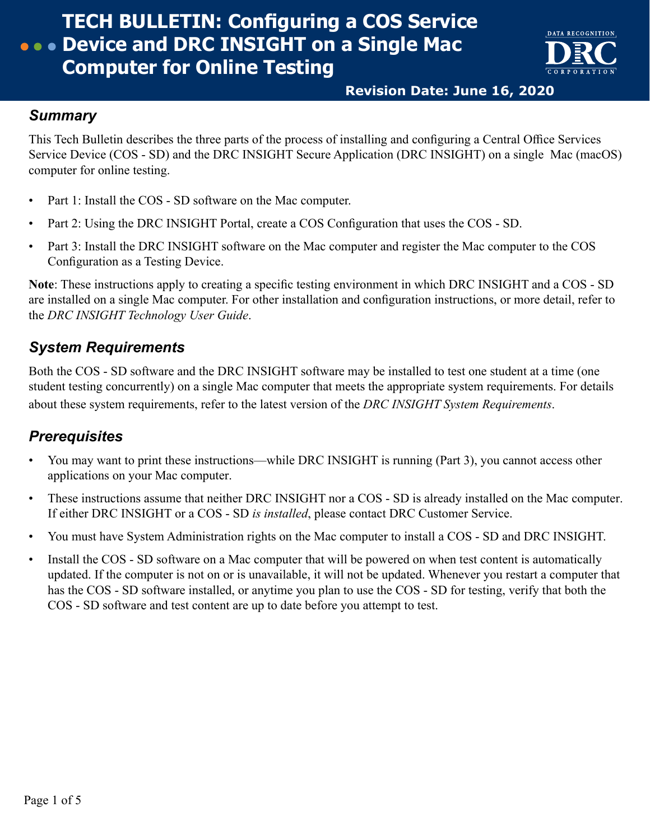## **TECH BULLETIN: Configuring a COS Service Device and DRC INSIGHT on a Single Mac Computer for Online Testing**



**Revision Date: June 16, 2020**

### *Summary*

This Tech Bulletin describes the three parts of the process of installing and configuring a Central Office Services Service Device (COS - SD) and the DRC INSIGHT Secure Application (DRC INSIGHT) on a single Mac (macOS) computer for online testing.

- Part 1: Install the COS SD software on the Mac computer.
- Part 2: Using the DRC INSIGHT Portal, create a COS Configuration that uses the COS SD.
- Part 3: Install the DRC INSIGHT software on the Mac computer and register the Mac computer to the COS Configuration as a Testing Device.

**Note**: These instructions apply to creating a specific testing environment in which DRC INSIGHT and a COS - SD are installed on a single Mac computer. For other installation and configuration instructions, or more detail, refer to the *DRC INSIGHT Technology User Guide*.

## *System Requirements*

Both the COS - SD software and the DRC INSIGHT software may be installed to test one student at a time (one student testing concurrently) on a single Mac computer that meets the appropriate system requirements. For details about these system requirements, refer to the latest version of the *DRC INSIGHT System Requirements*.

## *Prerequisites*

- You may want to print these instructions—while DRC INSIGHT is running (Part 3), you cannot access other applications on your Mac computer.
- These instructions assume that neither DRC INSIGHT nor a COS SD is already installed on the Mac computer. If either DRC INSIGHT or a COS - SD *is installed*, please contact DRC Customer Service.
- You must have System Administration rights on the Mac computer to install a COS SD and DRC INSIGHT.
- Install the COS SD software on a Mac computer that will be powered on when test content is automatically updated. If the computer is not on or is unavailable, it will not be updated. Whenever you restart a computer that has the COS - SD software installed, or anytime you plan to use the COS - SD for testing, verify that both the COS - SD software and test content are up to date before you attempt to test.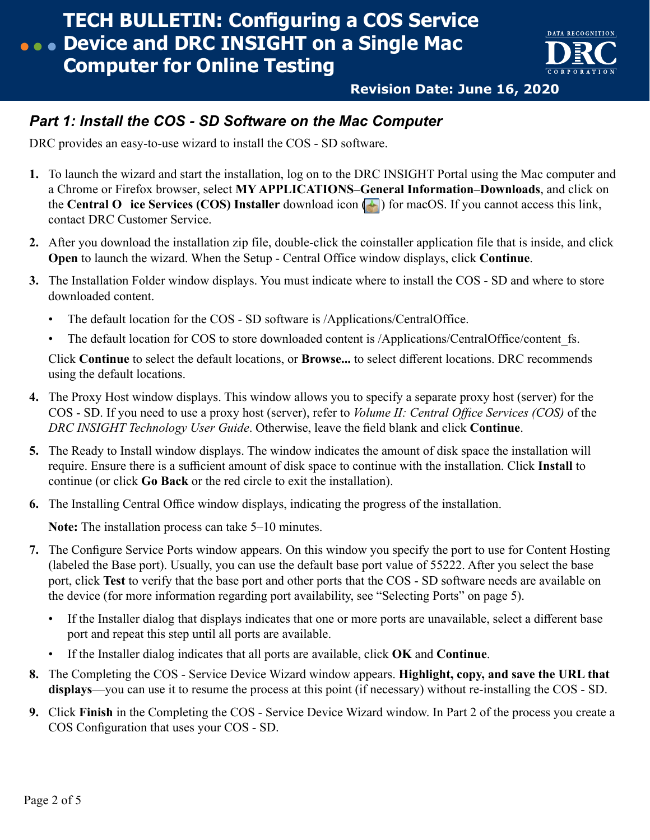

**Revision Date: June 16, 2020**

### *Part 1: Install the COS - SD Software on the Mac Computer*

DRC provides an easy-to-use wizard to install the COS - SD software.

- **1.** To launch the wizard and start the installation, log on to the DRC INSIGHT Portal using the Mac computer and a Chrome or Firefox browser, select **MY APPLICATIONS–General Information–Downloads**, and click on the **Central O** ice Services (COS) Installer download icon  $\Box$ ) for macOS. If you cannot access this link, contact DRC Customer Service.
- **2.** After you download the installation zip file, double-click the coinstaller application file that is inside, and click **Open** to launch the wizard. When the Setup - Central Office window displays, click **Continue**.
- **3.** The Installation Folder window displays. You must indicate where to install the COS SD and where to store downloaded content.
	- The default location for the COS SD software is /Applications/CentralOffice.
	- The default location for COS to store downloaded content is /Applications/CentralOffice/content fs.

Click **Continue** to select the default locations, or **Browse...** to select different locations. DRC recommends using the default locations.

- **4.** The Proxy Host window displays. This window allows you to specify a separate proxy host (server) for the COS - SD. If you need to use a proxy host (server), refer to *Volume II: Central Office Services (COS)* of the *DRC INSIGHT Technology User Guide*. Otherwise, leave the field blank and click **Continue**.
- **5.** The Ready to Install window displays. The window indicates the amount of disk space the installation will require. Ensure there is a sufficient amount of disk space to continue with the installation. Click **Install** to continue (or click **Go Back** or the red circle to exit the installation).
- **6.** The Installing Central Office window displays, indicating the progress of the installation.

**Note:** The installation process can take 5–10 minutes.

- **7.** The Configure Service Ports window appears. On this window you specify the port to use for Content Hosting (labeled the Base port). Usually, you can use the default base port value of 55222. After you select the base port, click **Test** to verify that the base port and other ports that the COS - SD software needs are available on the device (for more information regarding port availability, see ["Selecting Ports" on page 5](#page-4-0)).
	- If the Installer dialog that displays indicates that one or more ports are unavailable, select a different base port and repeat this step until all ports are available.
	- If the Installer dialog indicates that all ports are available, click **OK** and **Continue**.
- **8.** The Completing the COS Service Device Wizard window appears. **Highlight, copy, and save the URL that displays**—you can use it to resume the process at this point (if necessary) without re‑installing the COS - SD.
- **9.** Click **Finish** in the Completing the COS Service Device Wizard window. In Part 2 of the process you create a COS Configuration that uses your COS - SD.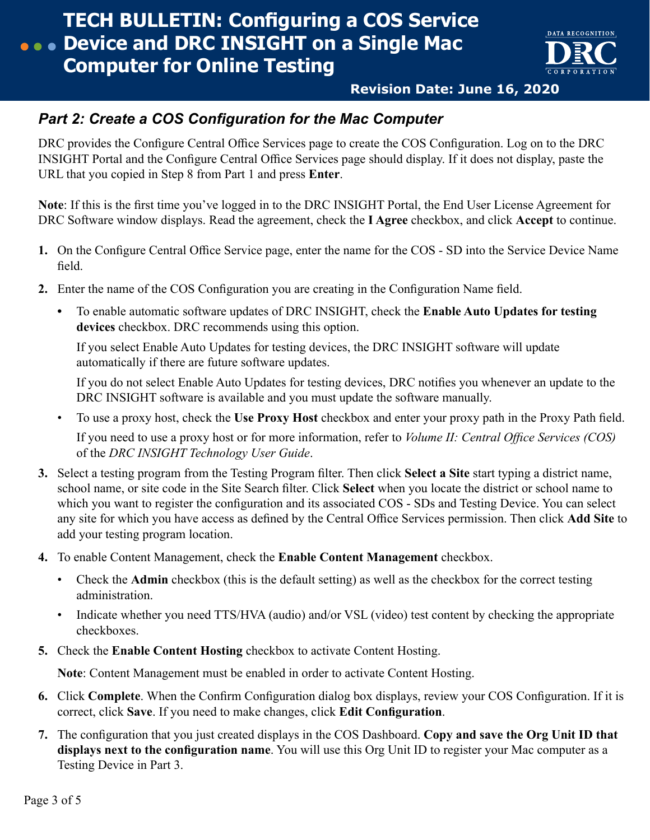

**Revision Date: June 16, 2020**

## *Part 2: Create a COS Configuration for the Mac Computer*

DRC provides the Configure Central Office Services page to create the COS Configuration. Log on to the DRC INSIGHT Portal and the Configure Central Office Services page should display. If it does not display, paste the URL that you copied in Step 8 from Part 1 and press **Enter**.

**Note**: If this is the first time you've logged in to the DRC INSIGHT Portal, the End User License Agreement for DRC Software window displays. Read the agreement, check the **I Agree** checkbox, and click **Accept** to continue.

- **1.** On the Configure Central Office Service page, enter the name for the COS SD into the Service Device Name field.
- **2.** Enter the name of the COS Configuration you are creating in the Configuration Name field.
	- **•** To enable automatic software updates of DRC INSIGHT, check the **Enable Auto Updates for testing devices** checkbox. DRC recommends using this option.

If you select Enable Auto Updates for testing devices, the DRC INSIGHT software will update automatically if there are future software updates.

If you do not select Enable Auto Updates for testing devices, DRC notifies you whenever an update to the DRC INSIGHT software is available and you must update the software manually.

• To use a proxy host, check the **Use Proxy Host** checkbox and enter your proxy path in the Proxy Path field.

If you need to use a proxy host or for more information, refer to *Volume II: Central Office Services (COS)* of the *DRC INSIGHT Technology User Guide*.

- **3.** Select a testing program from the Testing Program filter. Then click **Select a Site** start typing a district name, school name, or site code in the Site Search filter. Click **Select** when you locate the district or school name to which you want to register the configuration and its associated COS - SDs and Testing Device. You can select any site for which you have access as defined by the Central Office Services permission. Then click **Add Site** to add your testing program location.
- **4.** To enable Content Management, check the **Enable Content Management** checkbox.
	- Check the **Admin** checkbox (this is the default setting) as well as the checkbox for the correct testing administration.
	- Indicate whether you need TTS/HVA (audio) and/or VSL (video) test content by checking the appropriate checkboxes.
- **5.** Check the **Enable Content Hosting** checkbox to activate Content Hosting.

**Note**: Content Management must be enabled in order to activate Content Hosting.

- **6.** Click **Complete**. When the Confirm Configuration dialog box displays, review your COS Configuration. If it is correct, click **Save**. If you need to make changes, click **Edit Configuration**.
- **7.** The configuration that you just created displays in the COS Dashboard. **Copy and save the Org Unit ID that displays next to the configuration name**. You will use this Org Unit ID to register your Mac computer as a Testing Device in Part 3.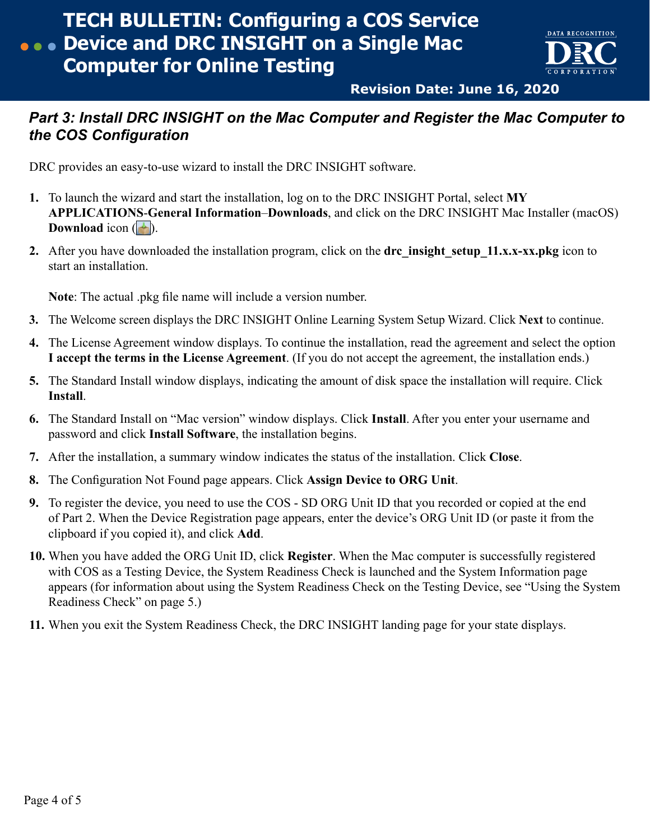# **TECH BULLETIN: Configuring a COS Service Device and DRC INSIGHT on a Single Mac Computer for Online Testing**



**Revision Date: June 16, 2020**

## *Part 3: Install DRC INSIGHT on the Mac Computer and Register the Mac Computer to the COS Configuration*

DRC provides an easy-to-use wizard to install the DRC INSIGHT software.

- **1.** To launch the wizard and start the installation, log on to the DRC INSIGHT Portal, select **MY APPLICATIONS**-**General Information**–**Downloads**, and click on the DRC INSIGHT Mac Installer (macOS) **Download** icon  $(\blacksquare)$ .
- **2.** After you have downloaded the installation program, click on the **drc** insight setup 11.x.x-xx.pkg icon to start an installation.

**Note**: The actual .pkg file name will include a version number.

- **3.** The Welcome screen displays the DRC INSIGHT Online Learning System Setup Wizard. Click **Next** to continue.
- **4.** The License Agreement window displays. To continue the installation, read the agreement and select the option **I accept the terms in the License Agreement**. (If you do not accept the agreement, the installation ends.)
- **5.** The Standard Install window displays, indicating the amount of disk space the installation will require. Click **Install**.
- **6.** The Standard Install on "Mac version" window displays. Click **Install**. After you enter your username and password and click **Install Software**, the installation begins.
- **7.** After the installation, a summary window indicates the status of the installation. Click **Close**.
- **8.** The Configuration Not Found page appears. Click **Assign Device to ORG Unit**.
- **9.** To register the device, you need to use the COS SD ORG Unit ID that you recorded or copied at the end of Part 2. When the Device Registration page appears, enter the device's ORG Unit ID (or paste it from the clipboard if you copied it), and click **Add**.
- **10.** When you have added the ORG Unit ID, click **Register**. When the Mac computer is successfully registered with COS as a Testing Device, the System Readiness Check is launched and the System Information page appears (for information about using the System Readiness Check on the Testing Device, see ["Using the System](#page-4-1) [Readiness Check" on page 5.](#page-4-1))
- **11.** When you exit the System Readiness Check, the DRC INSIGHT landing page for your state displays.